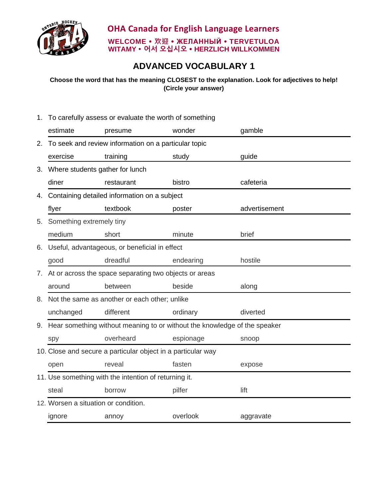

**OHA Canada for English Language Learners WELCOME 欢迎 ЖЕЛАННЫЙ TERVETULOA WITAMY 어서 오십시오 HERZLICH WILLKOMMEN**

## **ADVANCED VOCABULARY 1**

**Choose the word that has the meaning CLOSEST to the explanation. Look for adjectives to help! (Circle your answer)**

1. To carefully assess or evaluate the worth of something estimate presume wonder gamble 2. To seek and review information on a particular topic exercise training study study guide 3. Where students gather for lunch diner restaurant bistro cafeteria 4. Containing detailed information on a subject flyer textbook poster advertisement 5. Something extremely tiny medium short minute brief 6. Useful, advantageous, or beneficial in effect good dreadful endearing hostile 7. At or across the space separating two objects or areas around between beside along 8. Not the same as another or each other; unlike unchanged different ordinary diverted 9. Hear something without meaning to or without the knowledge of the speaker spy overheard espionage snoop 10. Close and secure a particular object in a particular way open reveal fasten expose 11. Use something with the intention of returning it. steal borrow pilfer lift 12. Worsen a situation or condition. ignore annoy overlook aggravate